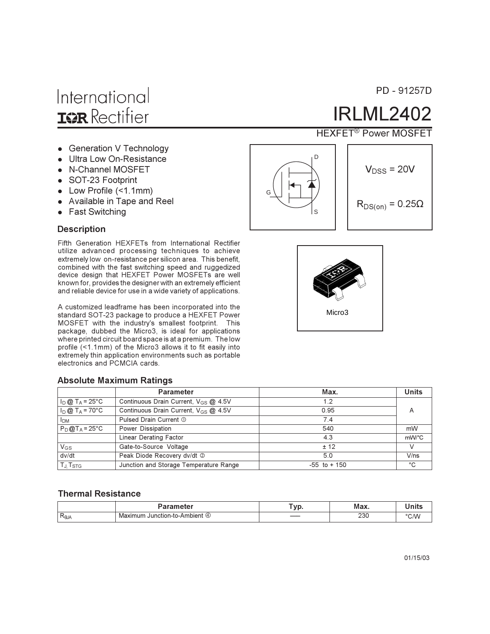- Generation V Technology
- Ultra Low On-Resistance
- N-Channel MOSFET
- SOT-23 Footprint
- Low Profile (<1.1mm)
- Available in Tape and Reel
- Fast Switching

#### **Description**

Fifth Generation HEXFETs from International Rectifier utilize advanced processing techniques to achieve extremely low on-resistance per silicon area. This benefit, combined with the fast switching speed and ruggedized device design that HEXFET Power MOSFETs are well known for, provides the designer with an extremely efficient and reliable device for use in a wide variety of applications.

A customized leadframe has been incorporated into the standard SOT-23 package to produce a HEXFET Power MOSFET with the industry's smallest footprint. This package, dubbed the Micro3, is ideal for applications where printed circuit board space is at a premium. The low profile (<1.1mm) of the Micro3 allows it to fit easily into extremely thin application environments such as portable electronics and PCMCIA cards.

#### **Absolute Maximum Ratings**

|                                                                               | <b>Parameter</b>                                 | Max.            | <b>Units</b> |
|-------------------------------------------------------------------------------|--------------------------------------------------|-----------------|--------------|
| $I_D @ T_A = 25^{\circ}C$                                                     | Continuous Drain Current, V <sub>GS</sub> @ 4.5V | 1.2             |              |
| $I_D @ T_A = 70^{\circ}C$<br>Continuous Drain Current, V <sub>GS</sub> @ 4.5V |                                                  | 0.95            | A            |
| <b>I</b> <sub>DM</sub>                                                        | Pulsed Drain Current 1                           | 7.4             |              |
| $P_D@T_A = 25°C$                                                              | Power Dissipation                                | 540             | mW           |
|                                                                               | Linear Derating Factor                           | 4.3             | mW/°C        |
| $V_{GS}$                                                                      | Gate-to-Source Voltage                           | ± 12            |              |
| dv/dt                                                                         | Peak Diode Recovery dv/dt 2                      | 5.0             | V/ns         |
| T <sub>J</sub> T <sub>STG</sub>                                               | Junction and Storage Temperature Range           | $-55$ to $+150$ | °C           |

#### **Thermal Resistance**

|                   |                                                          | $-$ |     | - ----- |
|-------------------|----------------------------------------------------------|-----|-----|---------|
| -<br>$R_{\theta}$ | 'n-to-Ambier.<br>٠ır<br>ctior<br>(4<br>IVI:<br>າບກ<br>זר |     | 230 |         |

 $\overline{D}$ 

**HEXFET<sup>®</sup> Power MOSFET** 

**IRLML2402** 

$$
V_{DSS} = 20V
$$

$$
R_{DS(on)} = 0.25\Omega
$$



PD - 91257D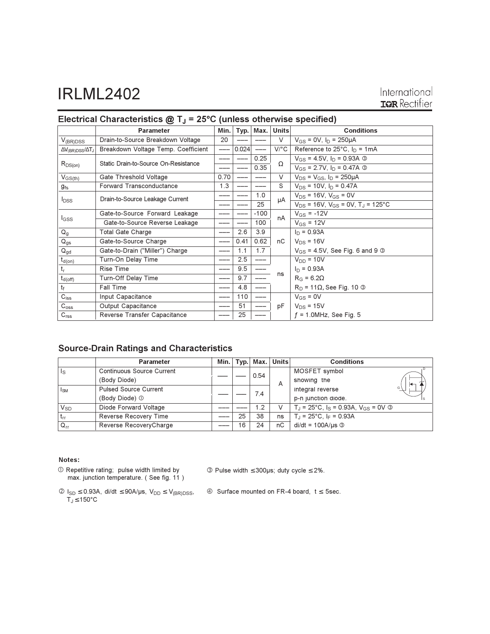# **IRLML2402**

|                                    | <b>Parameter</b>                     | Min. | Typ.  | Max.   | Units   | <b>Conditions</b>                                     |  |
|------------------------------------|--------------------------------------|------|-------|--------|---------|-------------------------------------------------------|--|
| $V_{(BR)DSS}$                      | Drain-to-Source Breakdown Voltage    | 20   |       |        | $\vee$  | $V_{GS} = 0V$ , $I_D = 250 \mu A$                     |  |
| $\Delta V_{\rm(BR)DSS}/\Delta T_J$ | Breakdown Voltage Temp. Coefficient  |      | 0.024 |        | $V$ /°C | Reference to $25^{\circ}$ C, $I_D = 1 \text{mA}$      |  |
| $R_{DS(on)}$                       | Static Drain-to-Source On-Resistance |      |       | 0.25   | Ω       | $V_{GS} = 4.5V$ , $I_D = 0.93A$ 3                     |  |
|                                    |                                      |      |       | 0.35   |         | $V_{GS}$ = 2.7V, $I_D$ = 0.47A $\circledcirc$         |  |
| $V_{GS(th)}$                       | Gate Threshold Voltage               | 0.70 |       |        | $\vee$  | $V_{DS} = V_{GS}$ , $I_D = 250 \mu A$                 |  |
| g <sub>fs</sub>                    | <b>Forward Transconductance</b>      | 1.3  |       |        | S       | $V_{DS}$ = 10V, $I_D$ = 0.47A                         |  |
| $I_{DSS}$                          | Drain-to-Source Leakage Current      |      |       | 1.0    | μA      | $V_{DS}$ = 16V, $V_{GS}$ = 0V                         |  |
|                                    |                                      |      |       | 25     |         | $V_{DS}$ = 16V, $V_{GS}$ = 0V, T <sub>J</sub> = 125°C |  |
| <b>I</b> GSS                       | Gate-to-Source Forward Leakage       |      |       | $-100$ | nA      | $V_{GS} = -12V$                                       |  |
|                                    | Gate-to-Source Reverse Leakage       |      |       | 100    |         | $V_{GS}$ = 12V                                        |  |
| $\mathsf{Q}_{\mathsf{g}}$          | <b>Total Gate Charge</b>             |      | 2.6   | 3.9    |         | $I_D = 0.93A$                                         |  |
| $Q_{gs}$                           | Gate-to-Source Charge                |      | 0.41  | 0.62   | nC      | $V_{DS}$ = 16V                                        |  |
| $Q_{gd}$                           | Gate-to-Drain ("Miller") Charge      |      | 1.1   | 1.7    |         | $V_{GS}$ = 4.5V, See Fig. 6 and 9 $\circledcirc$      |  |
| $t_{d(on)}$                        | Turn-On Delay Time                   |      | 2.5   |        |         | $V_{DD} = 10V$                                        |  |
| $t_{r}$                            | Rise Time                            |      | 9.5   |        |         | $I_D = 0.93A$                                         |  |
| $t_{d(off)}$                       | Turn-Off Delay Time                  |      | 9.7   |        | ns      | $R_G = 6.2\Omega$                                     |  |
| $t_f$                              | <b>Fall Time</b>                     |      | 4.8   |        |         | $R_D$ = 11 $\Omega$ , See Fig. 10 $\Omega$            |  |
| $C_{iss}$                          | Input Capacitance                    |      | 110   |        |         | $V_{GS} = 0V$                                         |  |
| $C_{\rm oss}$                      | Output Capacitance                   |      | 51    |        | рF      | $V_{DS}$ = 15V                                        |  |
| C <sub>rss</sub>                   | Reverse Transfer Capacitance         |      | 25    |        |         | $f = 1.0$ MHz, See Fig. 5                             |  |

### Electrical Characteristics  $@T_J = 25°C$  (unless otherwise specified)

### **Source-Drain Ratings and Characteristics**

|                         | <b>Parameter</b>                 | Min. | Typ. | Max. | <b>Units</b> | <b>Conditions</b>                                            |
|-------------------------|----------------------------------|------|------|------|--------------|--------------------------------------------------------------|
| $\mathsf{I}_\mathsf{S}$ | <b>Continuous Source Current</b> |      |      | 0.54 |              | MOSFET symbol                                                |
|                         | (Body Diode)                     |      |      |      | A            | showing the<br>⇤                                             |
| $I_{SM}$                | <b>Pulsed Source Current</b>     |      |      | 7.4  |              | G /<br>integral reverse                                      |
|                         | (Body Diode) ①                   |      |      |      |              | p-n junction diode.                                          |
| $V_{SD}$                | Diode Forward Voltage            |      |      | 1.2  | V            | $T_{\rm J}$ = 25°C, $I_{\rm S}$ = 0.93A, $V_{\rm GS}$ = 0V © |
| $t_{rr}$                | Reverse Recovery Time            |      | 25   | 38   | ns           | $T_{\rm J}$ = 25°C, I <sub>F</sub> = 0.93A                   |
| $Q_{rr}$                | Reverse RecoveryCharge           |      | 16   | 24   | nC           | $di/dt = 100A/\mu s$ 3                                       |

#### Notes:

 $\circledR$  Repetitive rating; pulse width limited by<br>max. junction temperature. (See fig. 11)

 $\circled{ }$  Pulse width  $\leq$  300µs; duty cycle  $\leq$  2%.

- $\begin{aligned} \textcircled{2}\text{ }I_{SD}\leq 0.93A,\text{ di/dt}\leq 90A/\mu\text{s},\text{ }V_{DD}\leq \text{ }V_{(BR)DSS},\\ T_J\!\leq 150^{\circ}\text{C} \end{aligned}$
- 4 Surface mounted on FR-4 board,  $t \le 5$ sec.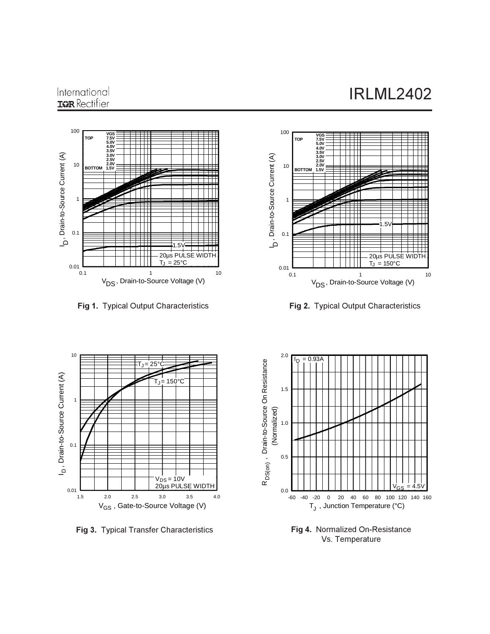# **IRLML2402**

### International **IGR** Rectifier



**Fig 1.** Typical Output Characteristics **Figure 1. 1997** 



g 2. Typical Output Characteristics



Fig 3. Typical Transfer Characteristics



**Fig 4.** Normalized On-Resistance Vs. Temperature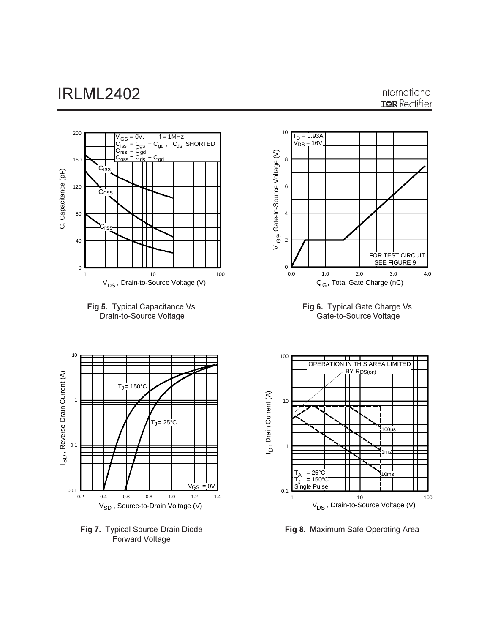









**Fig 7.** Typical Source-Drain Diode Forward Voltage



Fig 8. Maximum Safe Operating Area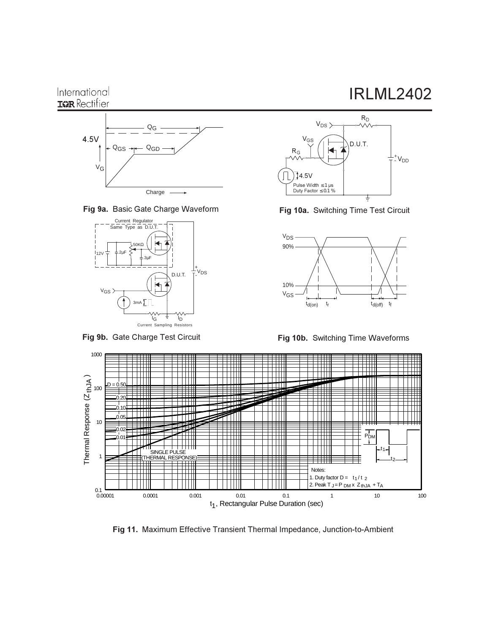

Fig 9a. Basic Gate Charge Waveform



Fig 9b. Gate Charge Test Circuit





Fig 10a. Switching Time Test Circuit



**Fig 10b.** Switching Time Waveforms



Fig 11. Maximum Effective Transient Thermal Impedance, Junction-to-Ambient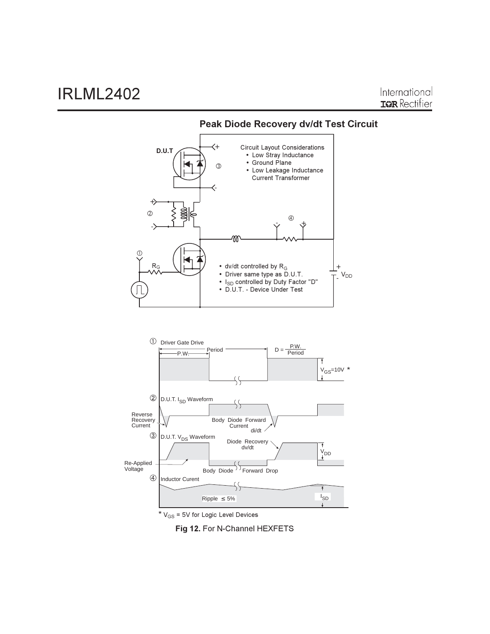

Peak Diode Recovery dv/dt Test Circuit

Fig 12. For N-Channel HEXFETS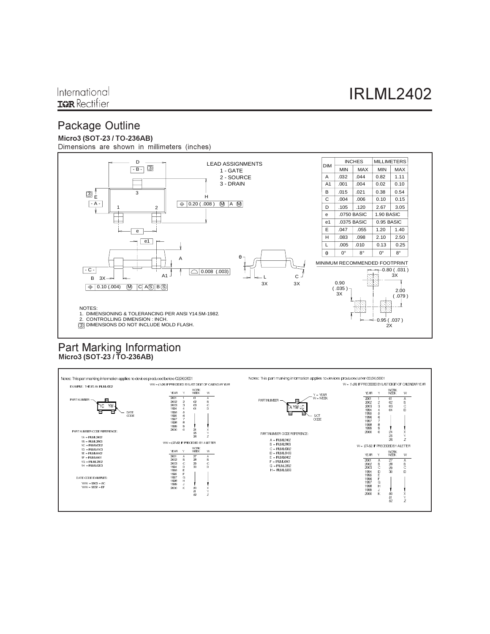# **Package Outline**

#### Micro3 (SOT-23 / TO-236AB)

Dimensions are shown in millimeters (inches)



# Part Marking Information<br>Micro3 (SOT-23/TO-236AB)